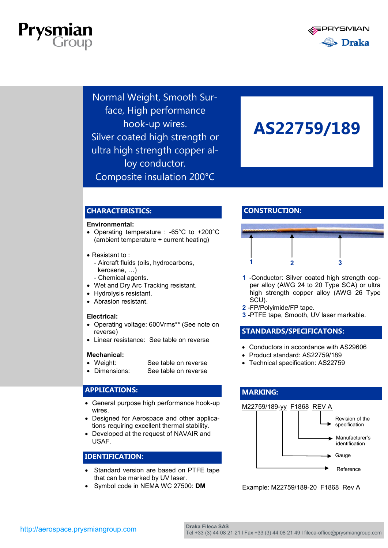



Normal Weight, Smooth Surface, High performance hook-up wires. Silver coated high strength or ultra high strength copper alloy conductor. Composite insulation 200°C

# **AS22759/189**

# **CHARACTERISTICS:**

#### **Environmental:**

- Operating temperature : -65°C to +200°C (ambient temperature + current heating)
- Resistant to :
	- Aircraft fluids (oils, hydrocarbons, kerosene, …)
	- Chemical agents.
- Wet and Dry Arc Tracking resistant.
- Hydrolysis resistant.
- Abrasion resistant.

#### **Electrical:**

- Operating voltage: 600Vrms\*\* (See note on reverse)
- Linear resistance: See table on reverse

#### **Mechanical:**

- Weight: See table on reverse
- Dimensions: See table on reverse

## **APPLICATIONS:**

- General purpose high performance hook-up wires.
- Designed for Aerospace and other applications requiring excellent thermal stability.
- Developed at the request of NAVAIR and USAF.

### **IDENTIFICATION:**

- Standard version are based on PTFE tape that can be marked by UV laser.
- Symbol code in NEMA WC 27500: **DM**

# **CONSTRUCTION:**



- **1** -Conductor: Silver coated high strength copper alloy (AWG 24 to 20 Type SCA) or ultra high strength copper alloy (AWG 26 Type SCU).
- **2** -FP/Polyimide/FP tape.
- **3** -PTFE tape, Smooth, UV laser markable.

## **STANDARDS/SPECIFICATONS:**

- Conductors in accordance with AS29606
- Product standard: AS22759/189
- Technical specification: AS22759

#### **MARKING:**

#### M22759/189-yy F1868 REV A



Example: M22759/189-20 F1868 Rev A